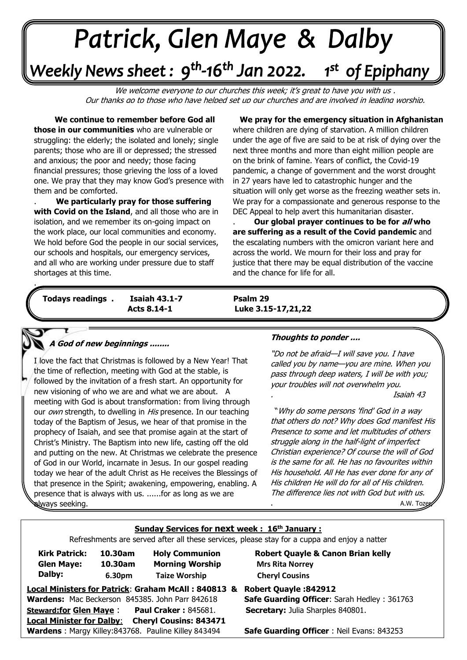# +v++++ -\*\*\*\*\*

## Weekly News sheet: 9<sup>th</sup>-16<sup>th</sup> Jan 2022. 1st of Epiphany

We welcome everyone to our churches this week; it's great to have you with us, Our thanks go to those who have helped set up our churches and are involved in leading worship.

 **We continue to remember before God all those in our communities** who are vulnerable or struggling: the elderly; the isolated and lonely; single parents; those who are ill or depressed; the stressed and anxious; the poor and needy; those facing financial pressures; those grieving the loss of a loved one. We pray that they may know God's presence with them and be comforted.

**with Covid on the Island**, and all those who are<br>isolation, and we remember its on-going impact on  the work place, our local communities and economy. we nold before God the people in our social service<br>our schools and hospitals, our emergency services, . **We particularly pray for those suffering with Covid on the Island**, and all those who are in We hold before God the people in our social services, and all who are working under pressure due to staff shortages at this time.

 **We pray for the emergency situation in Afghanistan** where children are dying of starvation. A million children under the age of five are said to be at risk of dying over the next three months and more than eight million people are on the brink of famine. Years of conflict, the Covid-19 pandemic, a change of government and the worst drought in 27 years have led to catastrophic hunger and the situation will only get worse as the freezing weather sets in. We pray for a compassionate and generous response to the DEC Appeal to help avert this humanitarian disaster.

.........**Our global prayer continues to be for all who are suffering as a result of the Covid pandemic** and the escalating numbers with the omicron variant here and across the world. We mourn for their loss and pray for justice that there may be equal distribution of the vaccine and the chance for life for all. **.** 

*June: Trinity Sunday* **Todays readings . Isaiah 43.1-7 Psalm 29** 

 **Acts 8.14-1 Luke 3.15-17,21,22**

#### **A God of new beginnings ........**

. . .

 followed by the invitation of a fresh start. An opportunity for  new visioning of who we are and what we are about. A I love the fact that Christmas is followed by a New Year! That the time of reflection, meeting with God at the stable, is meeting with God is about transformation: from living through our own strength, to dwelling in His presence. In our teaching today of the Baptism of Jesus, we hear of that promise in the prophecy of Isaiah, and see that promise again at the start of Christ's Ministry. The Baptism into new life, casting off the old and putting on the new. At Christmas we celebrate the presence of God in our World, incarnate in Jesus. In our gospel reading today we hear of the adult Christ as He receives the Blessings of that presence in the Spirit; awakening, empowering, enabling. A presence that is always with us. ......for as long as we are always seeking.

#### **Thoughts to ponder ....**

"Do not be afraid—I will save you. I have called you by name—you are mine. When you pass through deep waters, I will be with you; your troubles will not overwhelm you.

. Isaiah 43

"Why do some persons 'find' God in a way that others do not? Why does God manifest His Presence to some and let multitudes of others struggle along in the half-light of imperfect Christian experience? Of course the will of God is the same for all. He has no favourites within His household. All He has ever done for any of His children He will do for all of His children. The difference lies not with God but with us. A.W. Tozen

#### **Sunday Services for next week : 16th January :**

Refreshments are served after all these services, please stay for a cuppa and enjoy a natter

| <b>Kirk Patrick:</b> | 10.30am | <b>Holy</b> |
|----------------------|---------|-------------|
| <b>Glen Maye:</b>    | 10.30am | Mor         |
| Dalby:               | 6.30pm  | Taiz        |

 **10.30am Holy Communion Robert Quayle & Canon Brian kelly 10.30am Morning Worship Mrs Rita Norrey . 6.30pm Taize Worship Cheryl Cousins**

**Local Ministers for Patrick**: **Graham McAll : 840813 & Robert Quayle :842912 Wardens:** Mac Beckerson 845385. John Parr 842618 **Safe Guarding Officer**: Sarah Hedley : 361763 **Steward:for Glen Maye** : **Paul Craker :** 845681. **Secretary:** Julia Sharples 840801. **Local Minister for Dalby**: **Cheryl Cousins: 843471 Wardens** : Margy Killey:843768. Pauline Killey 843494 **Safe Guarding Officer** : Neil Evans: 843253